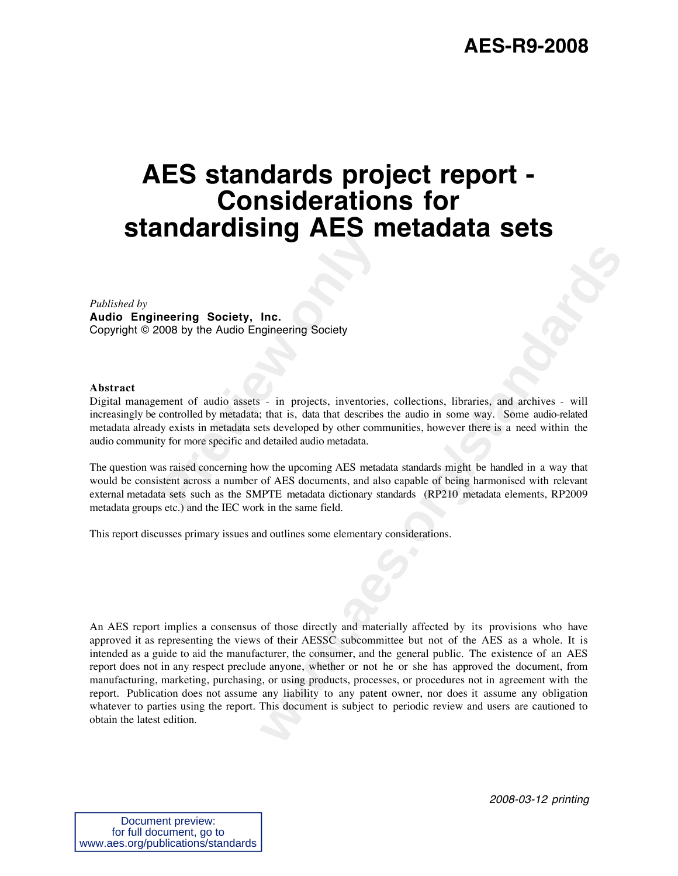## **AES-R9-2008**

## **AES standards project report - Considerations for standardising AES metadata sets**

#### *Published by*

**Audio Engineering Society, Inc.** Copyright © 2008 by the Audio Engineering Society

#### **Abstract**

**Previous Society, Inc.**<br> **Previous By the Audio Engineering Society**<br> **Prement of audio assets - in projects, inventories**<br> **Prement of audio assets - in projects, inventories**<br> **Prement of audio assets - in projects, inv** Digital management of audio assets - in projects, inventories, collections, libraries, and archives - will increasingly be controlled by metadata; that is, data that describes the audio in some way. Some audio-related metadata already exists in metadata sets developed by other communities, however there is a need within the audio community for more specific and detailed audio metadata.

The question was raised concerning how the upcoming AES metadata standards might be handled in a way that would be consistent across a number of AES documents, and also capable of being harmonised with relevant external metadata sets such as the SMPTE metadata dictionary standards (RP210 metadata elements, RP2009 metadata groups etc.) and the IEC work in the same field.

This report discusses primary issues and outlines some elementary considerations.

**knc.**<br> **w** in projects, inventories, collections, libraries, and archives - will<br>
that is, data that describes the autio in some way. Some autio-related<br>
that is, data that describes the autio in some way. Some autio-rela An AES report implies a consensus of those directly and materially affected by its provisions who have approved it as representing the views of their AESSC subcommittee but not of the AES as a whole. It is intended as a guide to aid the manufacturer, the consumer, and the general public. The existence of an AES report does not in any respect preclude anyone, whether or not he or she has approved the document, from manufacturing, marketing, purchasing, or using products, processes, or procedures not in agreement with the report. Publication does not assume any liability to any patent owner, nor does it assume any obligation whatever to parties using the report. This document is subject to periodic review and users are cautioned to obtain the latest edition.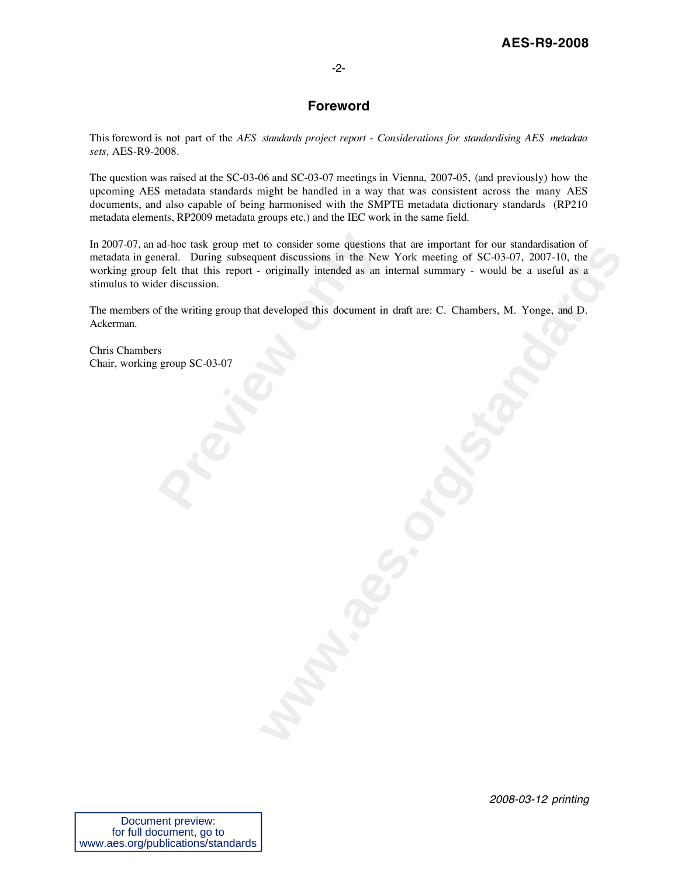## -2-

## **Foreword**

This foreword is not part of the *AES standards project report - Considerations for standardising AES metadata sets,* AES-R9-2008.

The question was raised at the SC-03-06 and SC-03-07 meetings in Vienna, 2007-05, (and previously) how the upcoming AES metadata standards might be handled in a way that was consistent across the many AES documents, and also capable of being harmonised with the SMPTE metadata dictionary standards (RP210 metadata elements, RP2009 metadata groups etc.) and the IEC work in the same field.

ad-hoc task group met to consider some questions<br>heral. During subsequent discussions in the Nev<br>felt that this report - originally intended as an<br>er discussion.<br>f the writing group that developed this document in<br>s<br>group In 2007-07, an ad-hoc task group met to consider some questions that are important for our standardisation of metadata in general. During subsequent discussions in the New York meeting of SC-03-07, 2007-10, the working group felt that this report - originally intended as an internal summary - would be a useful as a stimulus to wider discussion.

The members of the writing group that developed this document in draft are: C. Chambers, M. Yonge, and D. Ackerman.

Chris Chambers Chair, working group SC-03-07